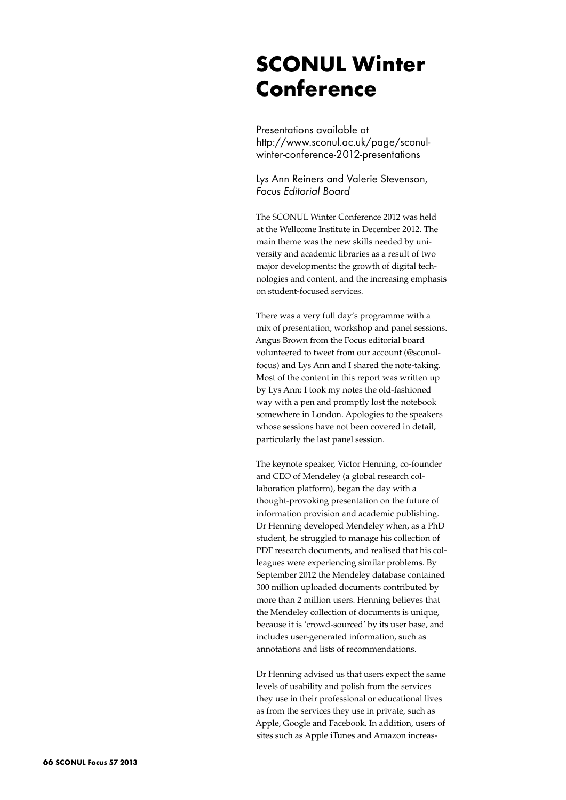# **SCONUL Winter Conference**

Presentations available at http://www.sconul.ac.uk/page/sconulwinter-conference-2012-presentations

Lys Ann Reiners and Valerie Stevenson, *Focus Editorial Board*

The SCONUL Winter Conference 2012 was held at the Wellcome Institute in December 2012. The main theme was the new skills needed by university and academic libraries as a result of two major developments: the growth of digital technologies and content, and the increasing emphasis on student-focused services.

There was a very full day's programme with a mix of presentation, workshop and panel sessions. Angus Brown from the Focus editorial board volunteered to tweet from our account (@sconulfocus) and Lys Ann and I shared the note-taking. Most of the content in this report was written up by Lys Ann: I took my notes the old-fashioned way with a pen and promptly lost the notebook somewhere in London. Apologies to the speakers whose sessions have not been covered in detail, particularly the last panel session.

The keynote speaker, Victor Henning, co-founder and CEO of Mendeley (a global research collaboration platform), began the day with a thought-provoking presentation on the future of information provision and academic publishing. Dr Henning developed Mendeley when, as a PhD student, he struggled to manage his collection of PDF research documents, and realised that his colleagues were experiencing similar problems. By September 2012 the Mendeley database contained 300 million uploaded documents contributed by more than 2 million users. Henning believes that the Mendeley collection of documents is unique, because it is 'crowd-sourced' by its user base, and includes user-generated information, such as annotations and lists of recommendations.

Dr Henning advised us that users expect the same levels of usability and polish from the services they use in their professional or educational lives as from the services they use in private, such as Apple, Google and Facebook. In addition, users of sites such as Apple iTunes and Amazon increas-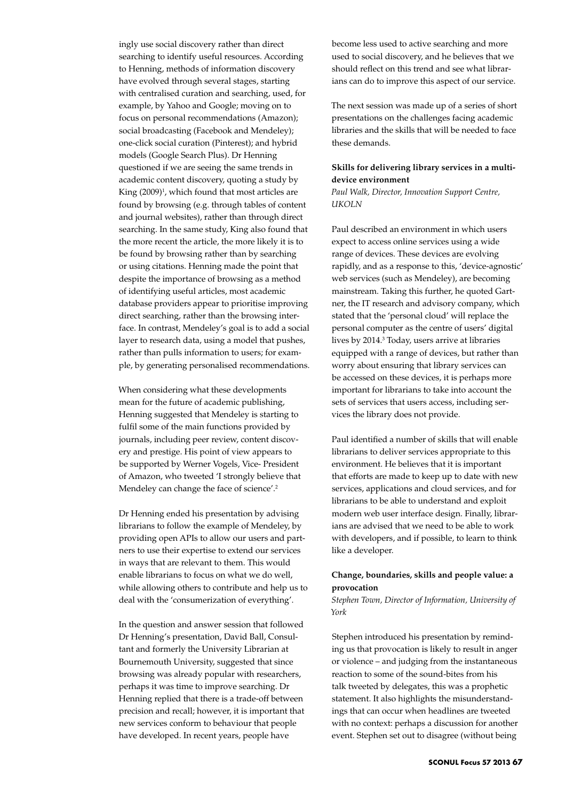ingly use social discovery rather than direct searching to identify useful resources. According to Henning, methods of information discovery have evolved through several stages, starting with centralised curation and searching, used, for example, by Yahoo and Google; moving on to focus on personal recommendations (Amazon); social broadcasting (Facebook and Mendeley); one-click social curation (Pinterest); and hybrid models (Google Search Plus). Dr Henning questioned if we are seeing the same trends in academic content discovery, quoting a study by King (2009)<sup>1</sup>, which found that most articles are found by browsing (e.g. through tables of content and journal websites), rather than through direct searching. In the same study, King also found that the more recent the article, the more likely it is to be found by browsing rather than by searching or using citations. Henning made the point that despite the importance of browsing as a method of identifying useful articles, most academic database providers appear to prioritise improving direct searching, rather than the browsing interface. In contrast, Mendeley's goal is to add a social layer to research data, using a model that pushes, rather than pulls information to users; for example, by generating personalised recommendations.

When considering what these developments mean for the future of academic publishing, Henning suggested that Mendeley is starting to fulfil some of the main functions provided by journals, including peer review, content discovery and prestige. His point of view appears to be supported by Werner Vogels, Vice- President of Amazon, who tweeted 'I strongly believe that Mendeley can change the face of science'.<sup>2</sup>

Dr Henning ended his presentation by advising librarians to follow the example of Mendeley, by providing open APIs to allow our users and partners to use their expertise to extend our services in ways that are relevant to them. This would enable librarians to focus on what we do well, while allowing others to contribute and help us to deal with the 'consumerization of everything'.

In the question and answer session that followed Dr Henning's presentation, David Ball, Consultant and formerly the University Librarian at Bournemouth University, suggested that since browsing was already popular with researchers, perhaps it was time to improve searching. Dr Henning replied that there is a trade-off between precision and recall; however, it is important that new services conform to behaviour that people have developed. In recent years, people have

become less used to active searching and more used to social discovery, and he believes that we should reflect on this trend and see what librarians can do to improve this aspect of our service.

The next session was made up of a series of short presentations on the challenges facing academic libraries and the skills that will be needed to face these demands.

## **Skills for delivering library services in a multidevice environment**

*Paul Walk, Director, Innovation Support Centre, UKOLN*

Paul described an environment in which users expect to access online services using a wide range of devices. These devices are evolving rapidly, and as a response to this, 'device-agnostic' web services (such as Mendeley), are becoming mainstream. Taking this further, he quoted Gartner, the IT research and advisory company, which stated that the 'personal cloud' will replace the personal computer as the centre of users' digital lives by 2014.<sup>3</sup> Today, users arrive at libraries equipped with a range of devices, but rather than worry about ensuring that library services can be accessed on these devices, it is perhaps more important for librarians to take into account the sets of services that users access, including services the library does not provide.

Paul identified a number of skills that will enable librarians to deliver services appropriate to this environment. He believes that it is important that efforts are made to keep up to date with new services, applications and cloud services, and for librarians to be able to understand and exploit modern web user interface design. Finally, librarians are advised that we need to be able to work with developers, and if possible, to learn to think like a developer.

# **Change, boundaries, skills and people value: a provocation**

*Stephen Town, Director of Information, University of York*

Stephen introduced his presentation by reminding us that provocation is likely to result in anger or violence – and judging from the instantaneous reaction to some of the sound-bites from his talk tweeted by delegates, this was a prophetic statement. It also highlights the misunderstandings that can occur when headlines are tweeted with no context: perhaps a discussion for another event. Stephen set out to disagree (without being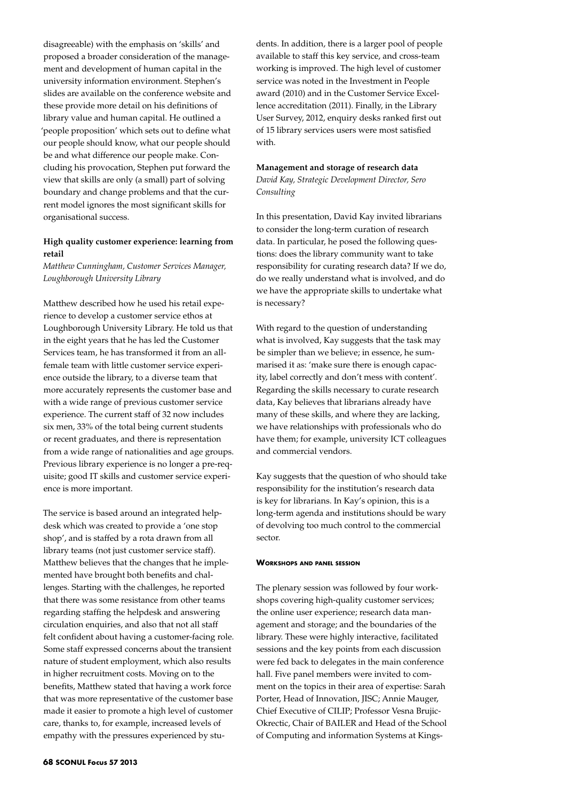disagreeable) with the emphasis on 'skills' and proposed a broader consideration of the management and development of human capital in the university information environment. Stephen's slides are available on the conference website and these provide more detail on his definitions of library value and human capital. He outlined a 'people proposition' which sets out to define what our people should know, what our people should be and what difference our people make. Concluding his provocation, Stephen put forward the view that skills are only (a small) part of solving boundary and change problems and that the current model ignores the most significant skills for organisational success.

# **High quality customer experience: learning from retail**

*Matthew Cunningham, Customer Services Manager, Loughborough University Library*

Matthew described how he used his retail experience to develop a customer service ethos at Loughborough University Library. He told us that in the eight years that he has led the Customer Services team, he has transformed it from an allfemale team with little customer service experience outside the library, to a diverse team that more accurately represents the customer base and with a wide range of previous customer service experience. The current staff of 32 now includes six men, 33% of the total being current students or recent graduates, and there is representation from a wide range of nationalities and age groups. Previous library experience is no longer a pre-requisite; good IT skills and customer service experience is more important.

The service is based around an integrated helpdesk which was created to provide a 'one stop shop', and is staffed by a rota drawn from all library teams (not just customer service staff). Matthew believes that the changes that he implemented have brought both benefits and challenges. Starting with the challenges, he reported that there was some resistance from other teams regarding staffing the helpdesk and answering circulation enquiries, and also that not all staff felt confident about having a customer-facing role. Some staff expressed concerns about the transient nature of student employment, which also results in higher recruitment costs. Moving on to the benefits, Matthew stated that having a work force that was more representative of the customer base made it easier to promote a high level of customer care, thanks to, for example, increased levels of empathy with the pressures experienced by stu-

dents. In addition, there is a larger pool of people available to staff this key service, and cross-team working is improved. The high level of customer service was noted in the Investment in People award (2010) and in the Customer Service Excellence accreditation (2011). Finally, in the Library User Survey, 2012, enquiry desks ranked first out of 15 library services users were most satisfied with.

#### **Management and storage of research data**

*David Kay, Strategic Development Director, Sero Consulting*

In this presentation, David Kay invited librarians to consider the long-term curation of research data. In particular, he posed the following questions: does the library community want to take responsibility for curating research data? If we do, do we really understand what is involved, and do we have the appropriate skills to undertake what is necessary?

With regard to the question of understanding what is involved, Kay suggests that the task may be simpler than we believe; in essence, he summarised it as: 'make sure there is enough capacity, label correctly and don't mess with content'. Regarding the skills necessary to curate research data, Kay believes that librarians already have many of these skills, and where they are lacking, we have relationships with professionals who do have them; for example, university ICT colleagues and commercial vendors.

Kay suggests that the question of who should take responsibility for the institution's research data is key for librarians. In Kay's opinion, this is a long-term agenda and institutions should be wary of devolving too much control to the commercial sector.

#### **Workshops and panel session**

The plenary session was followed by four workshops covering high-quality customer services; the online user experience; research data management and storage; and the boundaries of the library. These were highly interactive, facilitated sessions and the key points from each discussion were fed back to delegates in the main conference hall. Five panel members were invited to comment on the topics in their area of expertise: Sarah Porter, Head of Innovation, JISC; Annie Mauger, Chief Executive of CILIP; Professor Vesna Brujic-Okrectic, Chair of BAILER and Head of the School of Computing and information Systems at Kings